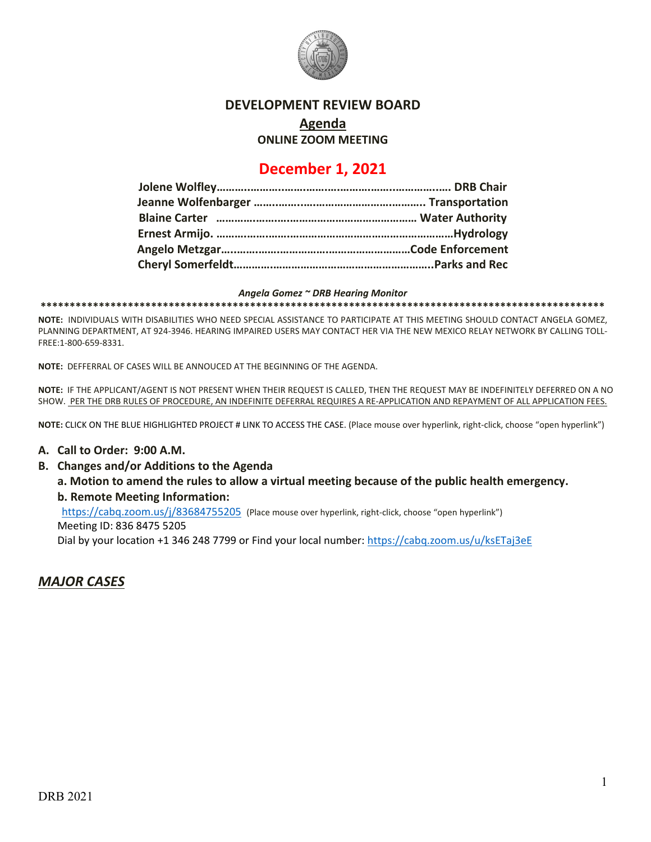

#### **DEVELOPMENT REVIEW BOARD**

**Agenda**

**ONLINE ZOOM MEETING**

# **December 1, 2021**

#### *Angela Gomez ~ DRB Hearing Monitor*

**\*\*\*\*\*\*\*\*\*\*\*\*\*\*\*\*\*\*\*\*\*\*\*\*\*\*\*\*\*\*\*\*\*\*\*\*\*\*\*\*\*\*\*\*\*\*\*\*\*\*\*\*\*\*\*\*\*\*\*\*\*\*\*\*\*\*\*\*\*\*\*\*\*\*\*\*\*\*\*\*\*\*\*\*\*\*\*\*\*\*\*\*\*\*\*\*\***

**NOTE:** INDIVIDUALS WITH DISABILITIES WHO NEED SPECIAL ASSISTANCE TO PARTICIPATE AT THIS MEETING SHOULD CONTACT ANGELA GOMEZ, PLANNING DEPARTMENT, AT 924-3946. HEARING IMPAIRED USERS MAY CONTACT HER VIA THE NEW MEXICO RELAY NETWORK BY CALLING TOLL-FREE:1-800-659-8331.

**NOTE:** DEFFERRAL OF CASES WILL BE ANNOUCED AT THE BEGINNING OF THE AGENDA.

**NOTE:** IF THE APPLICANT/AGENT IS NOT PRESENT WHEN THEIR REQUEST IS CALLED, THEN THE REQUEST MAY BE INDEFINITELY DEFERRED ON A NO SHOW. PER THE DRB RULES OF PROCEDURE, AN INDEFINITE DEFERRAL REQUIRES A RE-APPLICATION AND REPAYMENT OF ALL APPLICATION FEES.

**NOTE:** CLICK ON THE BLUE HIGHLIGHTED PROJECT # LINK TO ACCESS THE CASE. (Place mouse over hyperlink, right-click, choose "open hyperlink")

#### **A. Call to Order: 9:00 A.M.**

**B. Changes and/or Additions to the Agenda**

**a. Motion to amend the rules to allow a virtual meeting because of the public health emergency. b. Remote Meeting Information:** 

https://cabq.zoom.us/j/83684755205 (Place mouse over hyperlink, right-click, choose "open hyperlink")

Meeting ID: 836 8475 5205

Dial by your location +1 346 248 7799 or Find your local number[: https://cabq.zoom.us/u/ksETaj3eE](https://cabq.zoom.us/u/ksETaj3eE)

### *MAJOR CASES*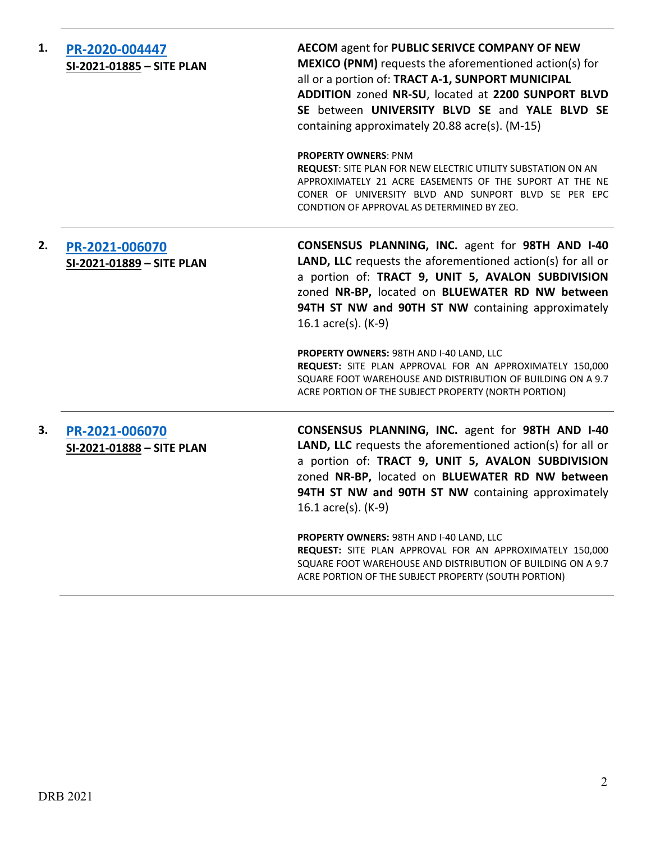| 1. | PR-2020-004447<br>SI-2021-01885 - SITE PLAN | AECOM agent for PUBLIC SERIVCE COMPANY OF NEW<br><b>MEXICO (PNM)</b> requests the aforementioned action(s) for<br>all or a portion of: TRACT A-1, SUNPORT MUNICIPAL<br>ADDITION zoned NR-SU, located at 2200 SUNPORT BLVD<br>SE between UNIVERSITY BLVD SE and YALE BLVD SE<br>containing approximately 20.88 acre(s). (M-15) |
|----|---------------------------------------------|-------------------------------------------------------------------------------------------------------------------------------------------------------------------------------------------------------------------------------------------------------------------------------------------------------------------------------|
|    |                                             | <b>PROPERTY OWNERS: PNM</b><br><b>REQUEST:</b> SITE PLAN FOR NEW ELECTRIC UTILITY SUBSTATION ON AN<br>APPROXIMATELY 21 ACRE EASEMENTS OF THE SUPORT AT THE NE<br>CONER OF UNIVERSITY BLVD AND SUNPORT BLVD SE PER EPC<br>CONDTION OF APPROVAL AS DETERMINED BY ZEO.                                                           |
| 2. | PR-2021-006070<br>SI-2021-01889 - SITE PLAN | CONSENSUS PLANNING, INC. agent for 98TH AND I-40<br>LAND, LLC requests the aforementioned action(s) for all or<br>a portion of: TRACT 9, UNIT 5, AVALON SUBDIVISION<br>zoned NR-BP, located on BLUEWATER RD NW between<br>94TH ST NW and 90TH ST NW containing approximately<br>16.1 acre(s). (K-9)                           |
|    |                                             | PROPERTY OWNERS: 98TH AND I-40 LAND, LLC<br>REQUEST: SITE PLAN APPROVAL FOR AN APPROXIMATELY 150,000<br>SQUARE FOOT WAREHOUSE AND DISTRIBUTION OF BUILDING ON A 9.7<br>ACRE PORTION OF THE SUBJECT PROPERTY (NORTH PORTION)                                                                                                   |
| 3. | PR-2021-006070<br>SI-2021-01888 - SITE PLAN | CONSENSUS PLANNING, INC. agent for 98TH AND I-40<br>LAND, LLC requests the aforementioned action(s) for all or<br>a portion of: TRACT 9, UNIT 5, AVALON SUBDIVISION<br>zoned NR-BP, located on BLUEWATER RD NW between<br>94TH ST NW and 90TH ST NW containing approximately<br>16.1 acre(s). (K-9)                           |
|    |                                             | PROPERTY OWNERS: 98TH AND I-40 LAND, LLC<br>REQUEST: SITE PLAN APPROVAL FOR AN APPROXIMATELY 150,000<br>SQUARE FOOT WAREHOUSE AND DISTRIBUTION OF BUILDING ON A 9.7<br>ACRE PORTION OF THE SUBJECT PROPERTY (SOUTH PORTION)                                                                                                   |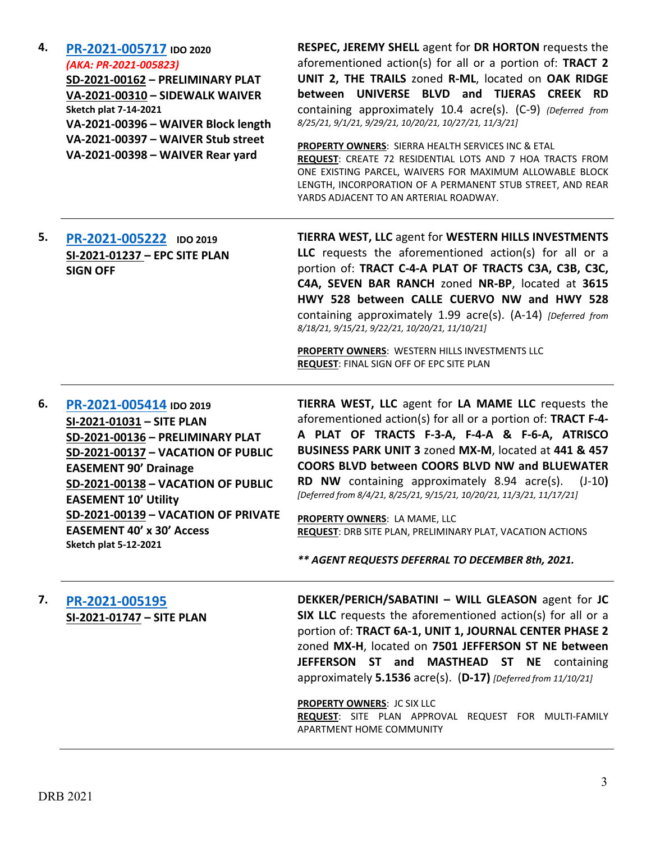| PR-2021-005717 IDO 2020<br>(AKA: PR-2021-005823)<br>SD-2021-00162 - PRELIMINARY PLAT<br>VA-2021-00310 - SIDEWALK WAIVER<br><b>Sketch plat 7-14-2021</b><br>VA-2021-00396 - WAIVER Block length<br>VA-2021-00397 - WAIVER Stub street<br>VA-2021-00398 - WAIVER Rear yard               | RESPEC, JEREMY SHELL agent for DR HORTON requests the<br>aforementioned action(s) for all or a portion of: TRACT 2<br>UNIT 2, THE TRAILS zoned R-ML, located on OAK RIDGE<br>between UNIVERSE BLVD and TIJERAS CREEK RD<br>containing approximately 10.4 acre(s). (C-9) (Deferred from<br>8/25/21, 9/1/21, 9/29/21, 10/20/21, 10/27/21, 11/3/21]<br><b>PROPERTY OWNERS: SIERRA HEALTH SERVICES INC &amp; ETAL</b><br>REQUEST: CREATE 72 RESIDENTIAL LOTS AND 7 HOA TRACTS FROM<br>ONE EXISTING PARCEL, WAIVERS FOR MAXIMUM ALLOWABLE BLOCK<br>LENGTH, INCORPORATION OF A PERMANENT STUB STREET, AND REAR<br>YARDS ADJACENT TO AN ARTERIAL ROADWAY. |
|----------------------------------------------------------------------------------------------------------------------------------------------------------------------------------------------------------------------------------------------------------------------------------------|----------------------------------------------------------------------------------------------------------------------------------------------------------------------------------------------------------------------------------------------------------------------------------------------------------------------------------------------------------------------------------------------------------------------------------------------------------------------------------------------------------------------------------------------------------------------------------------------------------------------------------------------------|
| PR-2021-005222 IDO 2019<br>SI-2021-01237 - EPC SITE PLAN<br><b>SIGN OFF</b>                                                                                                                                                                                                            | <b>TIERRA WEST, LLC agent for WESTERN HILLS INVESTMENTS</b><br>LLC requests the aforementioned action(s) for all or a<br>portion of: TRACT C-4-A PLAT OF TRACTS C3A, C3B, C3C,<br>C4A, SEVEN BAR RANCH zoned NR-BP, located at 3615<br>HWY 528 between CALLE CUERVO NW and HWY 528<br>containing approximately 1.99 acre(s). (A-14) [Deferred from<br>8/18/21, 9/15/21, 9/22/21, 10/20/21, 11/10/21]                                                                                                                                                                                                                                               |
|                                                                                                                                                                                                                                                                                        | PROPERTY OWNERS: WESTERN HILLS INVESTMENTS LLC<br>REQUEST: FINAL SIGN OFF OF EPC SITE PLAN                                                                                                                                                                                                                                                                                                                                                                                                                                                                                                                                                         |
| PR-2021-005414 IDO 2019<br>SI-2021-01031 - SITE PLAN                                                                                                                                                                                                                                   | TIERRA WEST, LLC agent for LA MAME LLC requests the<br>aforementioned action(s) for all or a portion of: TRACT F-4-                                                                                                                                                                                                                                                                                                                                                                                                                                                                                                                                |
| SD-2021-00136 - PRELIMINARY PLAT<br>SD-2021-00137 - VACATION OF PUBLIC<br><b>EASEMENT 90' Drainage</b><br>SD-2021-00138 - VACATION OF PUBLIC<br><b>EASEMENT 10' Utility</b><br>SD-2021-00139 - VACATION OF PRIVATE<br><b>EASEMENT 40' x 30' Access</b><br><b>Sketch plat 5-12-2021</b> | A PLAT OF TRACTS F-3-A, F-4-A & F-6-A, ATRISCO<br>BUSINESS PARK UNIT 3 zoned MX-M, located at 441 & 457<br><b>COORS BLVD between COORS BLVD NW and BLUEWATER</b><br>RD NW containing approximately 8.94 acre(s).<br>$(J-10)$<br>[Deferred from 8/4/21, 8/25/21, 9/15/21, 10/20/21, 11/3/21, 11/17/21]<br>PROPERTY OWNERS: LA MAME, LLC<br>REQUEST: DRB SITE PLAN, PRELIMINARY PLAT, VACATION ACTIONS<br>** AGENT REQUESTS DEFERRAL TO DECEMBER 8th, 2021.                                                                                                                                                                                          |
| PR-2021-005195<br>SI-2021-01747 - SITE PLAN                                                                                                                                                                                                                                            | DEKKER/PERICH/SABATINI - WILL GLEASON agent for JC<br>SIX LLC requests the aforementioned action(s) for all or a<br>portion of: TRACT 6A-1, UNIT 1, JOURNAL CENTER PHASE 2<br>zoned MX-H, located on 7501 JEFFERSON ST NE between<br>JEFFERSON ST and<br><b>MASTHEAD ST NE containing</b>                                                                                                                                                                                                                                                                                                                                                          |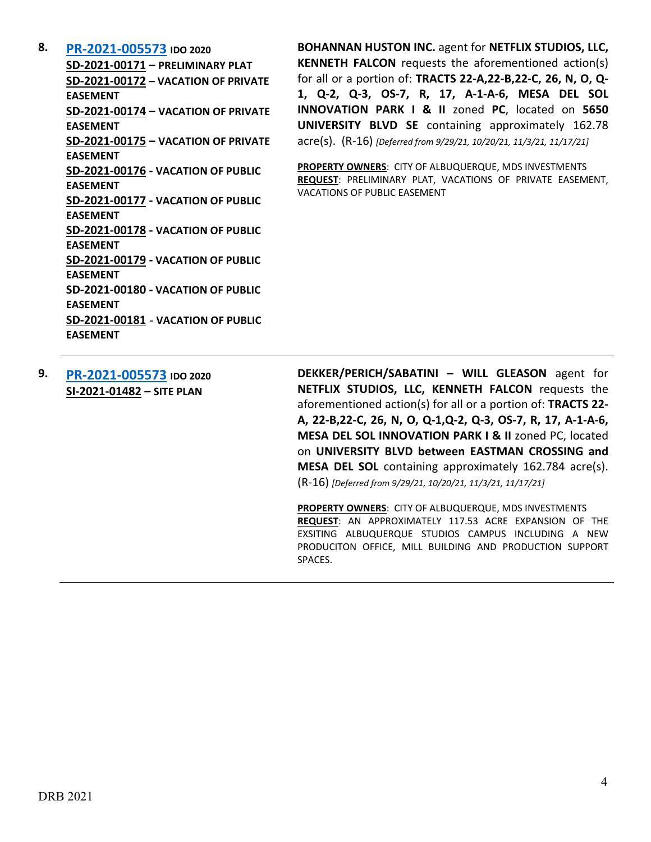**8. [PR-2021-005573](http://data.cabq.gov/government/planning/DRB/PR-2021-005573/DRB%20Submittals/) IDO 2020**

**SD-2021-00171 – PRELIMINARY PLAT SD-2021-00172 – VACATION OF PRIVATE EASEMENT SD-2021-00174 – VACATION OF PRIVATE EASEMENT SD-2021-00175 – VACATION OF PRIVATE EASEMENT SD-2021-00176 - VACATION OF PUBLIC EASEMENT SD-2021-00177 - VACATION OF PUBLIC EASEMENT SD-2021-00178 - VACATION OF PUBLIC EASEMENT SD-2021-00179 - VACATION OF PUBLIC EASEMENT SD-2021-00180 - VACATION OF PUBLIC EASEMENT SD-2021-00181** - **VACATION OF PUBLIC EASEMENT**

**BOHANNAN HUSTON INC.** agent for **NETFLIX STUDIOS, LLC, KENNETH FALCON** requests the aforementioned action(s) for all or a portion of: **TRACTS 22-A,22-B,22-C, 26, N, O, Q-1, Q-2, Q-3, OS-7, R, 17, A-1-A-6, MESA DEL SOL INNOVATION PARK I & II** zoned **PC**, located on **5650 UNIVERSITY BLVD SE** containing approximately 162.78 acre(s). (R-16) *[Deferred from 9/29/21, 10/20/21, 11/3/21, 11/17/21]*

**PROPERTY OWNERS**: CITY OF ALBUQUERQUE, MDS INVESTMENTS **REQUEST**: PRELIMINARY PLAT, VACATIONS OF PRIVATE EASEMENT, VACATIONS OF PUBLIC EASEMENT

**9. [PR-2021-005573](http://data.cabq.gov/government/planning/DRB/PR-2021-005573/DRB%20Submittals/) IDO 2020 SI-2021-01482 – SITE PLAN**

**DEKKER/PERICH/SABATINI – WILL GLEASON** agent for **NETFLIX STUDIOS, LLC, KENNETH FALCON** requests the aforementioned action(s) for all or a portion of: **TRACTS 22- A, 22-B,22-C, 26, N, O, Q-1,Q-2, Q-3, OS-7, R, 17, A-1-A-6, MESA DEL SOL INNOVATION PARK I & II** zoned PC, located on **UNIVERSITY BLVD between EASTMAN CROSSING and MESA DEL SOL** containing approximately 162.784 acre(s). (R-16) *[Deferred from 9/29/21, 10/20/21, 11/3/21, 11/17/21]*

**PROPERTY OWNERS**: CITY OF ALBUQUERQUE, MDS INVESTMENTS **REQUEST**: AN APPROXIMATELY 117.53 ACRE EXPANSION OF THE EXSITING ALBUQUERQUE STUDIOS CAMPUS INCLUDING A NEW PRODUCITON OFFICE, MILL BUILDING AND PRODUCTION SUPPORT SPACES.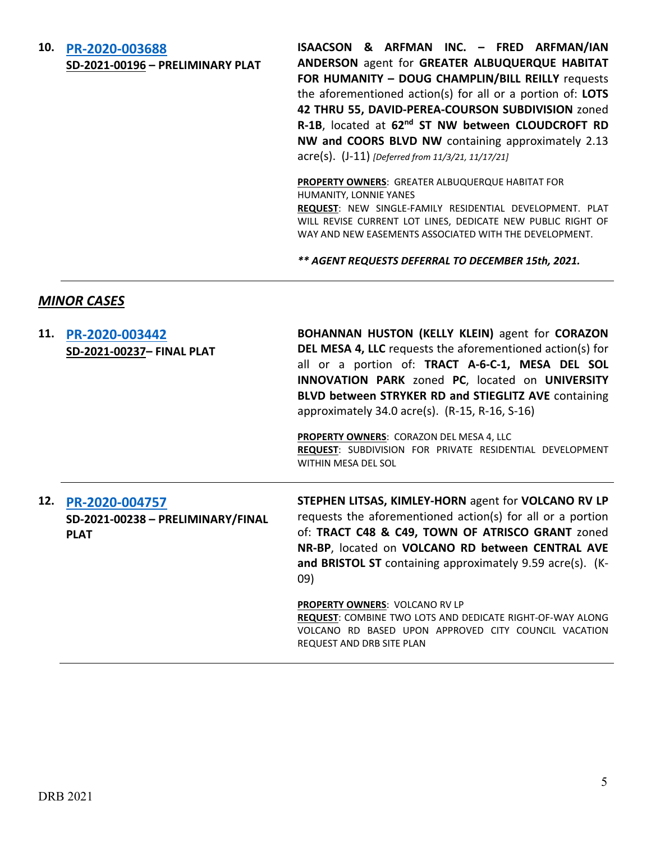## **10. [PR-2020-003688](http://data.cabq.gov/government/planning/DRB/PR-2020-003688/DRB%20Submittals/) SD-2021-00196 – PRELIMINARY PLAT**

**ISAACSON & ARFMAN INC. – FRED ARFMAN/IAN ANDERSON** agent for **GREATER ALBUQUERQUE HABITAT FOR HUMANITY – DOUG CHAMPLIN/BILL REILLY** requests the aforementioned action(s) for all or a portion of: **LOTS 42 THRU 55, DAVID-PEREA-COURSON SUBDIVISION** zoned **R-1B**, located at **62nd ST NW between CLOUDCROFT RD NW and COORS BLVD NW** containing approximately 2.13 acre(s). (J-11) *[Deferred from 11/3/21, 11/17/21]*

**PROPERTY OWNERS**: GREATER ALBUQUERQUE HABITAT FOR HUMANITY, LONNIE YANES

**REQUEST**: NEW SINGLE-FAMILY RESIDENTIAL DEVELOPMENT. PLAT WILL REVISE CURRENT LOT LINES, DEDICATE NEW PUBLIC RIGHT OF WAY AND NEW EASEMENTS ASSOCIATED WITH THE DEVELOPMENT.

*\*\* AGENT REQUESTS DEFERRAL TO DECEMBER 15th, 2021.*

### *MINOR CASES*

| 11. | PR-2020-003442<br>SD-2021-00237- FINAL PLAT      | <b>BOHANNAN HUSTON (KELLY KLEIN)</b> agent for <b>CORAZON</b><br><b>DEL MESA 4, LLC</b> requests the aforementioned action(s) for<br>all or a portion of: TRACT A-6-C-1, MESA DEL SOL<br>INNOVATION PARK zoned PC, located on UNIVERSITY<br>BLVD between STRYKER RD and STIEGLITZ AVE containing<br>approximately 34.0 acre(s). $(R-15, R-16, S-16)$ |
|-----|--------------------------------------------------|------------------------------------------------------------------------------------------------------------------------------------------------------------------------------------------------------------------------------------------------------------------------------------------------------------------------------------------------------|
|     |                                                  | <b>PROPERTY OWNERS: CORAZON DEL MESA 4, LLC</b><br>REQUEST: SUBDIVISION FOR PRIVATE RESIDENTIAL DEVELOPMENT<br><b>WITHIN MESA DEL SOL</b>                                                                                                                                                                                                            |
| 12. | PR-2020-004757                                   | STEPHEN LITSAS, KIMLEY-HORN agent for VOLCANO RV LP                                                                                                                                                                                                                                                                                                  |
|     | SD-2021-00238 - PRELIMINARY/FINAL<br><b>PLAT</b> | requests the aforementioned action(s) for all or a portion<br>of: TRACT C48 & C49, TOWN OF ATRISCO GRANT zoned<br>NR-BP, located on VOLCANO RD between CENTRAL AVE<br>and BRISTOL ST containing approximately 9.59 acre(s). (K-<br>09)                                                                                                               |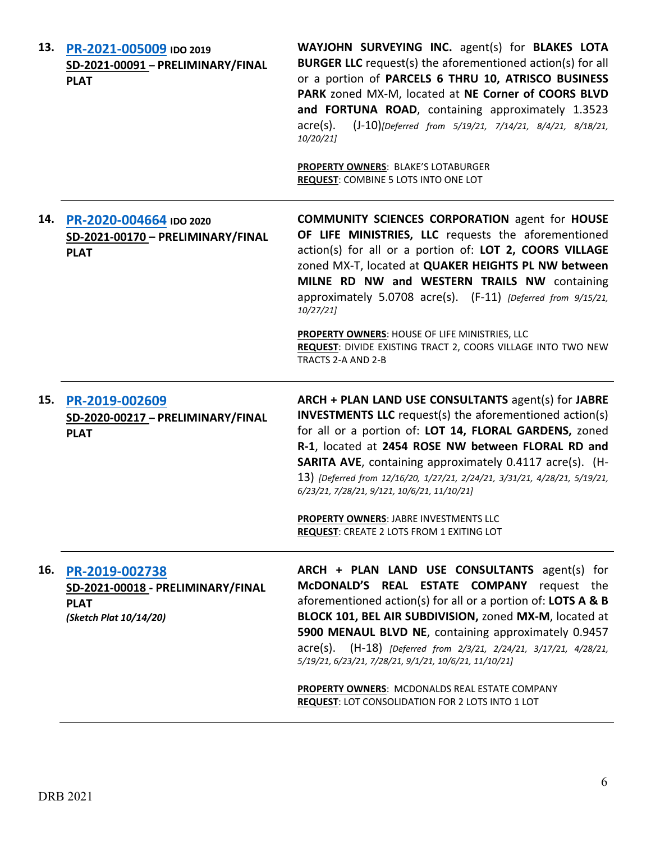|     | 13. PR-2021-005009 IDO 2019<br>SD-2021-00091 - PRELIMINARY/FINAL<br><b>PLAT</b>              | WAYJOHN SURVEYING INC. agent(s) for BLAKES LOTA<br><b>BURGER LLC</b> request(s) the aforementioned action(s) for all<br>or a portion of PARCELS 6 THRU 10, ATRISCO BUSINESS<br>PARK zoned MX-M, located at NE Corner of COORS BLVD<br>and FORTUNA ROAD, containing approximately 1.3523<br>(J-10)[Deferred from 5/19/21, 7/14/21, 8/4/21, 8/18/21,<br>$\text{acre}(s)$ .<br>10/20/21<br><b>PROPERTY OWNERS: BLAKE'S LOTABURGER</b><br>REQUEST: COMBINE 5 LOTS INTO ONE LOT                                                         |
|-----|----------------------------------------------------------------------------------------------|------------------------------------------------------------------------------------------------------------------------------------------------------------------------------------------------------------------------------------------------------------------------------------------------------------------------------------------------------------------------------------------------------------------------------------------------------------------------------------------------------------------------------------|
| 14. | PR-2020-004664 IDO 2020<br>SD-2021-00170 - PRELIMINARY/FINAL<br><b>PLAT</b>                  | <b>COMMUNITY SCIENCES CORPORATION agent for HOUSE</b><br>OF LIFE MINISTRIES, LLC requests the aforementioned<br>action(s) for all or a portion of: LOT 2, COORS VILLAGE<br>zoned MX-T, located at QUAKER HEIGHTS PL NW between<br>MILNE RD NW and WESTERN TRAILS NW containing<br>approximately 5.0708 acre(s). (F-11) [Deferred from 9/15/21,<br>10/27/21<br>PROPERTY OWNERS: HOUSE OF LIFE MINISTRIES, LLC<br>REQUEST: DIVIDE EXISTING TRACT 2, COORS VILLAGE INTO TWO NEW<br>TRACTS 2-A AND 2-B                                 |
| 15. | PR-2019-002609<br>SD-2020-00217 - PRELIMINARY/FINAL<br><b>PLAT</b>                           | ARCH + PLAN LAND USE CONSULTANTS agent(s) for JABRE<br><b>INVESTMENTS LLC</b> request(s) the aforementioned action(s)<br>for all or a portion of: LOT 14, FLORAL GARDENS, zoned<br>R-1, located at 2454 ROSE NW between FLORAL RD and<br><b>SARITA AVE, containing approximately 0.4117 acre(s). (H-</b><br>13) [Deferred from 12/16/20, 1/27/21, 2/24/21, 3/31/21, 4/28/21, 5/19/21,<br>6/23/21, 7/28/21, 9/121, 10/6/21, 11/10/21]<br>PROPERTY OWNERS: JABRE INVESTMENTS LLC<br><b>REQUEST: CREATE 2 LOTS FROM 1 EXITING LOT</b> |
| 16. | PR-2019-002738<br>SD-2021-00018 - PRELIMINARY/FINAL<br><b>PLAT</b><br>(Sketch Plat 10/14/20) | ARCH + PLAN LAND USE CONSULTANTS agent(s) for<br>McDONALD'S REAL ESTATE COMPANY<br>request the<br>aforementioned action(s) for all or a portion of: LOTS A & B<br>BLOCK 101, BEL AIR SUBDIVISION, zoned MX-M, located at<br>5900 MENAUL BLVD NE, containing approximately 0.9457<br>$\alpha$ acre(s).<br>(H-18) [Deferred from 2/3/21, 2/24/21, 3/17/21, 4/28/21,<br>5/19/21, 6/23/21, 7/28/21, 9/1/21, 10/6/21, 11/10/21]<br>PROPERTY OWNERS: MCDONALDS REAL ESTATE COMPANY<br>REQUEST: LOT CONSOLIDATION FOR 2 LOTS INTO 1 LOT   |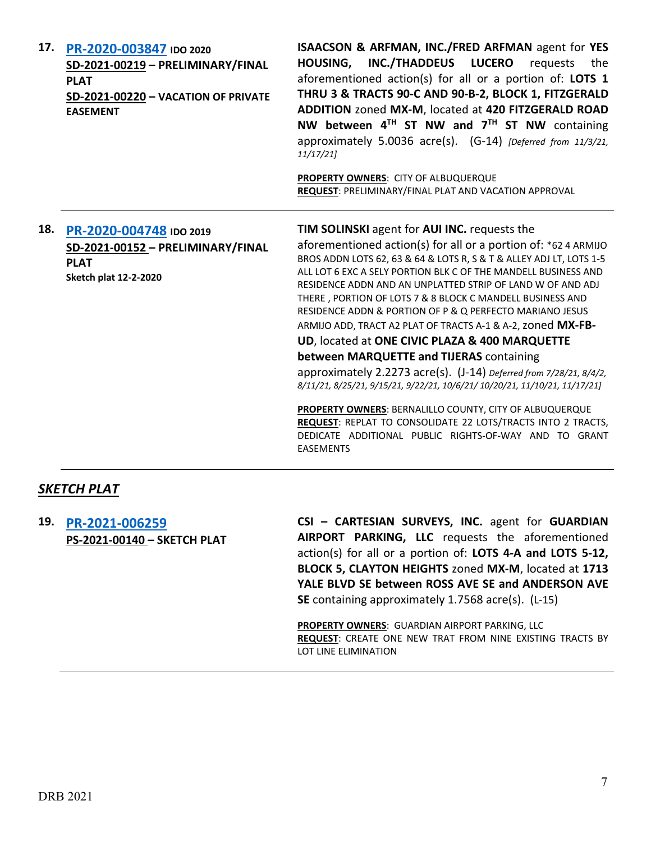| 17. | PR-2020-003847 IDO 2020<br>SD-2021-00219 - PRELIMINARY/FINAL<br><b>PLAT</b><br>SD-2021-00220 - VACATION OF PRIVATE<br><b>EASEMENT</b> | ISAACSON & ARFMAN, INC./FRED ARFMAN agent for YES<br>INC./THADDEUS LUCERO<br><b>HOUSING,</b><br>requests<br>the<br>aforementioned action(s) for all or a portion of: LOTS 1<br>THRU 3 & TRACTS 90-C AND 90-B-2, BLOCK 1, FITZGERALD<br>ADDITION zoned MX-M, located at 420 FITZGERALD ROAD<br>NW between 4TH ST NW and 7TH ST NW containing<br>approximately 5.0036 acre(s). (G-14) [Deferred from 11/3/21,<br>11/17/21<br>PROPERTY OWNERS: CITY OF ALBUQUERQUE<br>REQUEST: PRELIMINARY/FINAL PLAT AND VACATION APPROVAL                                                                                                                                                                                                                                                                                                                                                                                                                                                |
|-----|---------------------------------------------------------------------------------------------------------------------------------------|-------------------------------------------------------------------------------------------------------------------------------------------------------------------------------------------------------------------------------------------------------------------------------------------------------------------------------------------------------------------------------------------------------------------------------------------------------------------------------------------------------------------------------------------------------------------------------------------------------------------------------------------------------------------------------------------------------------------------------------------------------------------------------------------------------------------------------------------------------------------------------------------------------------------------------------------------------------------------|
| 18. | PR-2020-004748 IDO 2019<br>SD-2021-00152 - PRELIMINARY/FINAL<br><b>PLAT</b><br><b>Sketch plat 12-2-2020</b>                           | TIM SOLINSKI agent for AUI INC. requests the<br>aforementioned action(s) for all or a portion of: *62 4 ARMIJO<br>BROS ADDN LOTS 62, 63 & 64 & LOTS R, S & T & ALLEY ADJ LT, LOTS 1-5<br>ALL LOT 6 EXC A SELY PORTION BLK C OF THE MANDELL BUSINESS AND<br>RESIDENCE ADDN AND AN UNPLATTED STRIP OF LAND W OF AND ADJ<br>THERE, PORTION OF LOTS 7 & 8 BLOCK C MANDELL BUSINESS AND<br>RESIDENCE ADDN & PORTION OF P & Q PERFECTO MARIANO JESUS<br>ARMIJO ADD, TRACT A2 PLAT OF TRACTS A-1 & A-2, zoned MX-FB-<br>UD, located at ONE CIVIC PLAZA & 400 MARQUETTE<br>between MARQUETTE and TIJERAS containing<br>approximately 2.2273 acre(s). (J-14) Deferred from 7/28/21, 8/4/2,<br>8/11/21, 8/25/21, 9/15/21, 9/22/21, 10/6/21/ 10/20/21, 11/10/21, 11/17/21]<br>PROPERTY OWNERS: BERNALILLO COUNTY, CITY OF ALBUQUERQUE<br>REQUEST: REPLAT TO CONSOLIDATE 22 LOTS/TRACTS INTO 2 TRACTS,<br>DEDICATE ADDITIONAL PUBLIC RIGHTS-OF-WAY AND TO GRANT<br><b>EASEMENTS</b> |

### *SKETCH PLAT*

**19. [PR-2021-006259](http://data.cabq.gov/government/planning/DRB/PR-2021-006259/DRB%20Submittals/PR-2021-006259_%20_Dec_1_2021%20(Sketch)/Application/211153-Sk_Plat_App%20(004).pdf) PS-2021-00140 – SKETCH PLAT** **CSI – CARTESIAN SURVEYS, INC.** agent for **GUARDIAN AIRPORT PARKING, LLC** requests the aforementioned action(s) for all or a portion of: **LOTS 4-A and LOTS 5-12, BLOCK 5, CLAYTON HEIGHTS** zoned **MX-M**, located at **1713 YALE BLVD SE between ROSS AVE SE and ANDERSON AVE SE** containing approximately 1.7568 acre(s). (L-15)

**PROPERTY OWNERS**: GUARDIAN AIRPORT PARKING, LLC **REQUEST**: CREATE ONE NEW TRAT FROM NINE EXISTING TRACTS BY LOT LINE ELIMINATION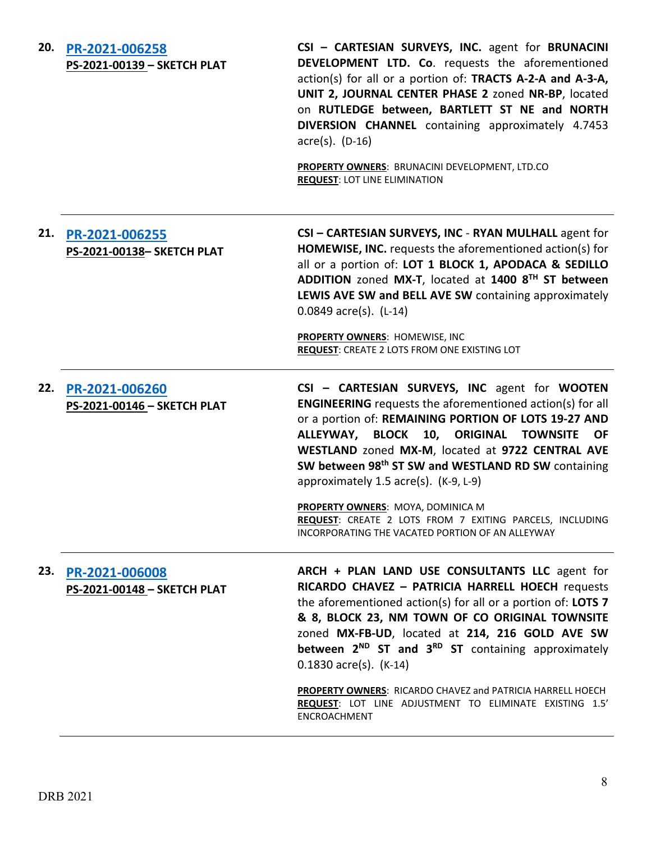| 20. | PR-2021-006258<br>PS-2021-00139 - SKETCH PLAT | CSI - CARTESIAN SURVEYS, INC. agent for BRUNACINI<br>DEVELOPMENT LTD. Co. requests the aforementioned<br>action(s) for all or a portion of: TRACTS A-2-A and A-3-A,<br>UNIT 2, JOURNAL CENTER PHASE 2 zoned NR-BP, located<br>on RUTLEDGE between, BARTLETT ST NE and NORTH<br>DIVERSION CHANNEL containing approximately 4.7453<br>$\text{acre}(s)$ . (D-16)<br>PROPERTY OWNERS: BRUNACINI DEVELOPMENT, LTD.CO<br><b>REQUEST: LOT LINE ELIMINATION</b>                                                                                                        |
|-----|-----------------------------------------------|----------------------------------------------------------------------------------------------------------------------------------------------------------------------------------------------------------------------------------------------------------------------------------------------------------------------------------------------------------------------------------------------------------------------------------------------------------------------------------------------------------------------------------------------------------------|
| 21. | PR-2021-006255<br>PS-2021-00138- SKETCH PLAT  | CSI - CARTESIAN SURVEYS, INC - RYAN MULHALL agent for<br>HOMEWISE, INC. requests the aforementioned action(s) for<br>all or a portion of: LOT 1 BLOCK 1, APODACA & SEDILLO<br>ADDITION zoned MX-T, located at 1400 8TH ST between<br>LEWIS AVE SW and BELL AVE SW containing approximately<br>$0.0849$ acre(s). (L-14)<br>PROPERTY OWNERS: HOMEWISE, INC<br>REQUEST: CREATE 2 LOTS FROM ONE EXISTING LOT                                                                                                                                                       |
| 22. | PR-2021-006260<br>PS-2021-00146 - SKETCH PLAT | CSI - CARTESIAN SURVEYS, INC agent for WOOTEN<br><b>ENGINEERING</b> requests the aforementioned action(s) for all<br>or a portion of: REMAINING PORTION OF LOTS 19-27 AND<br>ALLEYWAY, BLOCK<br>10, ORIGINAL TOWNSITE<br><b>OF</b><br>WESTLAND zoned MX-M, located at 9722 CENTRAL AVE<br>SW between 98 <sup>th</sup> ST SW and WESTLAND RD SW containing<br>approximately 1.5 acre(s). (K-9, L-9)<br>PROPERTY OWNERS: MOYA, DOMINICA M<br><b>REQUEST:</b> CREATE 2 LOTS FROM 7 EXITING PARCELS, INCLUDING<br>INCORPORATING THE VACATED PORTION OF AN ALLEYWAY |
| 23. | PR-2021-006008<br>PS-2021-00148 - SKETCH PLAT | ARCH + PLAN LAND USE CONSULTANTS LLC agent for<br>RICARDO CHAVEZ - PATRICIA HARRELL HOECH requests<br>the aforementioned action(s) for all or a portion of: LOTS 7<br>& 8, BLOCK 23, NM TOWN OF CO ORIGINAL TOWNSITE<br>zoned MX-FB-UD, located at 214, 216 GOLD AVE SW<br>between 2 <sup>ND</sup> ST and 3 <sup>RD</sup> ST containing approximately<br>$0.1830$ acre(s). (K-14)                                                                                                                                                                              |
|     |                                               | PROPERTY OWNERS: RICARDO CHAVEZ and PATRICIA HARRELL HOECH<br>REQUEST: LOT LINE ADJUSTMENT TO ELIMINATE EXISTING 1.5'                                                                                                                                                                                                                                                                                                                                                                                                                                          |

ENCROACHMENT